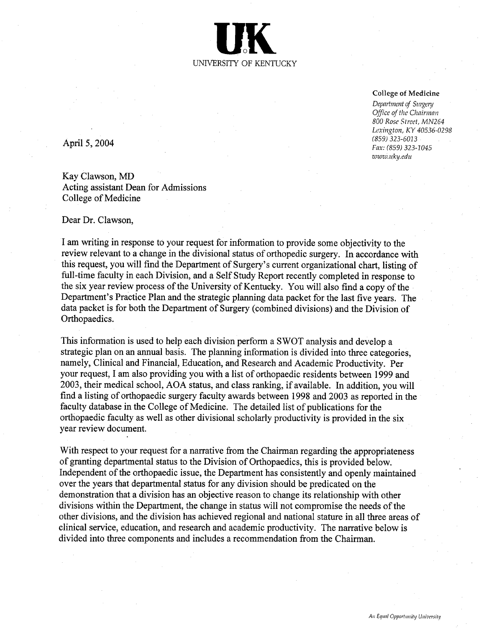

#### College of Medicine

Department of Surgery Office of the Chairman 800 Rose Street, MN264 Lexington, KY 40536-0298 859 323-6013 April 5, 2004 Fax: (859) 323-0015 www.uky.edu

Kay Clawson, MD Acting assistant Dean for Admissions College of Medicine

#### Dear Dr. Clawson

am writing in response to your request for information to provide some objectivity to the review relevant to a change in the divisional status of orthopedic surgery. In accordance with this request, you will find the Department of Surgery's current organizational chart, listing of full-time faculty in each Division, and a Self Study Report recently completed in response to the six year review process of the University of Kentucky. You will also find a copy of the Department's Practice Plan and the strategic planning data packet for the last five years. The data packet is for both the Department of Surgery (combined divisions) and the Division of Orthopaedics.

This information is used to help each division perform a SWOT analysis and develop a strategic plan on an annual basis. The planning information is divided into three categories. namely, Clinical and Financial, Education, and Research and Academic Productivity. Per your request, I am also providing you with a list of orthopaedic residents between 1999 and 2003, their medical school, AOA status, and class ranking, if available. In addition, you will find a listing of orthopaedic surgery faculty awards between 1998 and 2003 as reported in the faculty database in the College of Medicine. The detailed list of publications for the orthopaedic faculty as well as other divisional scholarly productivity is provided in the six year review document.

With respect to your request for a narrative from the Chairman regarding the appropriateness of granting departmental status to the Division of Orthopaedics, this is provided below. Independent of the orthopaedic issue, the Department has consistently and openly maintained over the years that departmental status for any division should be predicated on the demonstration that a division has an objective reason to change its relationship with other divisions within the Department, the change in status will not compromise the needs of the other divisions, and the division has achieved regional and national stature in all three areas of clinical service, education, and research and academic productivity. The narrative below is divided into three components and includes a recommendation from the Chairman.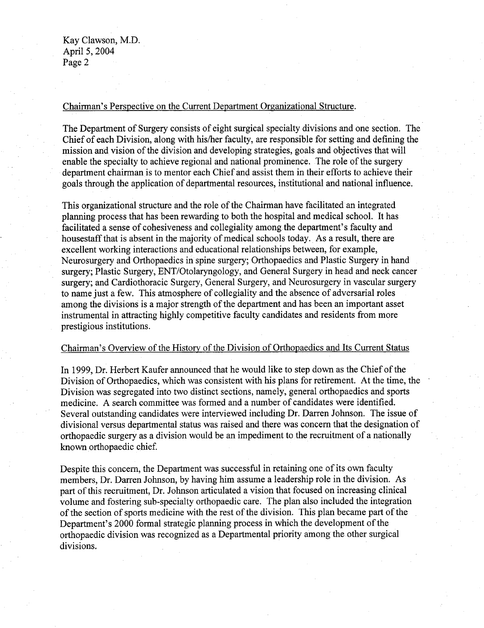Kay Clawson, M.D. April 5, 2004 Page 2

## Chairman's Perspective on the Current Department Organizational Structure.

The Department of Surgery consists of eight surgical specialty divisions and one section. The Chief of each Division, along with his/her faculty, are responsible for setting and defining the mission and vision of the division and developing strategies, goals and objectives that will enable the specialty to achieve regional and national prominence. The role of the surgery department chairman is to mentor each Chief and assist them in their efforts to achieve their goals through the application of departmental resources, institutional and national influence.

This organizational structure and the role of the Chairman have facilitated an integrated planning process that has been rewarding to both the hospital and medical school. It has facilitated a sense of cohesiveness and collegiality among the department's faculty and housestaff that is absent in the majority of medical schools today. As a result, there are excellent working interactions and educational relationships between, for example, Neurosurgery and Orthopaedics in spine surgery; Orthopaedics and Plastic Surgery in hand surgery: Plastic Surgery, ENT/Otolaryngology, and General Surgery in head and neck cancer surgery; and Cardiothoracic Surgery, General Surgery, and Neurosurgery in vascular surgery to name just a few. This atmosphere of collegiality and the absence of adversarial roles among the divisions is a major strength of the department and has been an important asset instrumental in attracting highly competitive faculty candidates and residents from more prestigious institutions.

## Chairman's Overview of the History of the Division of Orthopaedics and Its Current Status

In 1999 Dr. Herbert Kaufer announced that he would like to step down as the Chief of the Division of Orthopaedics, which was consistent with his plans for retirement. At the time, the Division was segregated into two distinct sections, namely, general orthopaedics and sports medicine. A search committee was formed and a number of candidates were identified. Several outstanding candidates were interviewed including Dr. Darren Johnson. The issue of divisional versus departmental status was raised and there was concern that the designation of orthopaedic surgery as a division would be an impediment to the recruitment of a nationally known orthopaedic chief.

Despite this concern, the Department was successful in retaining one of its own faculty members, Dr. Darren Johnson, by having him assume a leadership role in the division. As part of this recruitment. Dr. Johnson articulated a vision that focused on increasing clinical volume and fostering sub-specialty orthopaedic care. The plan also included the integration of the section of sports medicine with the rest of the division. This plan became part of the Department's 2000 formal strategic planning process in which the development of the orthopaedic division was recognized as Departmental priority among the other surgical divisions.